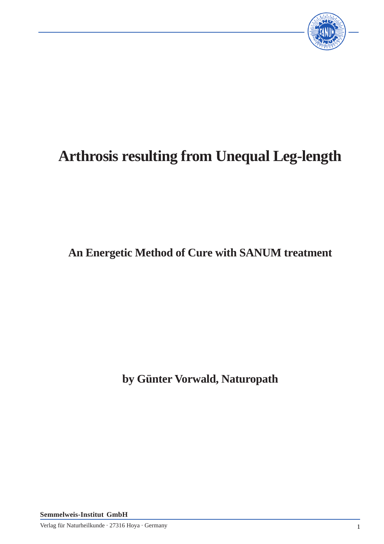

## **Arthrosis resulting from Unequal Leg-length**

**An Energetic Method of Cure with SANUM treatment**

**by Günter Vorwald, Naturopath**

**Semmelweis-Institut GmbH**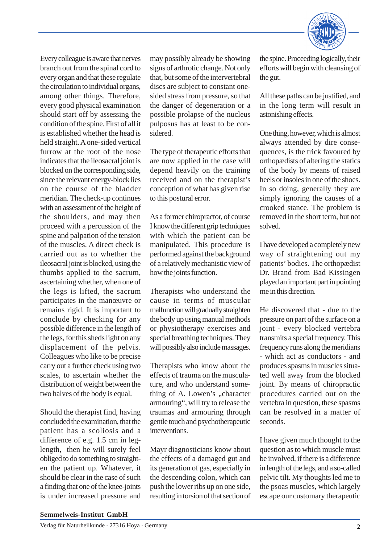

Every colleague is aware that nerves branch out from the spinal cord to every organ and that these regulate the circulation to individual organs, among other things. Therefore, every good physical examination should start off by assessing the condition of the spine. First of all it is established whether the head is held straight. A one-sided vertical furrow at the root of the nose indicates that the ileosacral joint is blocked on the corresponding side, since the relevant energy-block lies on the course of the bladder meridian. The check-up continues with an assessment of the height of the shoulders, and may then proceed with a percussion of the spine and palpation of the tension of the muscles. A direct check is carried out as to whether the ileosacral joint is blocked, using the thumbs applied to the sacrum, ascertaining whether, when one of the legs is lifted, the sacrum participates in the manœuvre or remains rigid. It is important to conclude by checking for any possible difference in the length of the legs, for this sheds light on any displacement of the pelvis. Colleagues who like to be precise carry out a further check using two scales, to ascertain whether the distribution of weight between the two halves of the body is equal.

Should the therapist find, having concluded the examination, that the patient has a scoliosis and a difference of e.g. 1.5 cm in leglength, then he will surely feel obliged to do something to straighten the patient up. Whatever, it should be clear in the case of such a finding that one of the knee-joints is under increased pressure and

may possibly already be showing signs of arthrotic change. Not only that, but some of the intervertebral discs are subject to constant onesided stress from pressure, so that the danger of degeneration or a possible prolapse of the nucleus pulposus has at least to be considered.

The type of therapeutic efforts that are now applied in the case will depend heavily on the training received and on the therapist's conception of what has given rise to this postural error.

As a former chiropractor, of course I know the different grip techniques with which the patient can be manipulated. This procedure is performed against the background of a relatively mechanistic view of how the joints function.

Therapists who understand the cause in terms of muscular malfunction will gradually straighten the body up using manual methods or physiotherapy exercises and special breathing techniques. They will possibly also include massages.

Therapists who know about the effects of trauma on the musculature, and who understand something of A. Lowen's "character armouring", will try to release the traumas and armouring through gentle touch and psychotherapeutic interventions.

Mayr diagnosticians know about the effects of a damaged gut and its generation of gas, especially in the descending colon, which can push the lower ribs up on one side, resulting in torsion of that section of

the spine. Proceeding logically, their efforts will begin with cleansing of the gut.

All these paths can be justified, and in the long term will result in astonishing effects.

One thing, however, which is almost always attended by dire consequences, is the trick favoured by orthopædists of altering the statics of the body by means of raised heels or insoles in one of the shoes. In so doing, generally they are simply ignoring the causes of a crooked stance. The problem is removed in the short term, but not solved.

I have developed a completely new way of straightening out my patients' bodies. The orthopædist Dr. Brand from Bad Kissingen played an important part in pointing me in this direction.

He discovered that - due to the pressure on part of the surface on a joint - every blocked vertebra transmits a special frequency. This frequency runs along the meridians - which act as conductors - and produces spasms in muscles situated well away from the blocked joint. By means of chiropractic procedures carried out on the vertebra in question, these spasms can be resolved in a matter of seconds.

I have given much thought to the question as to which muscle must be involved, if there is a difference in length of the legs, and a so-called pelvic tilt. My thoughts led me to the psoas muscles, which largely escape our customary therapeutic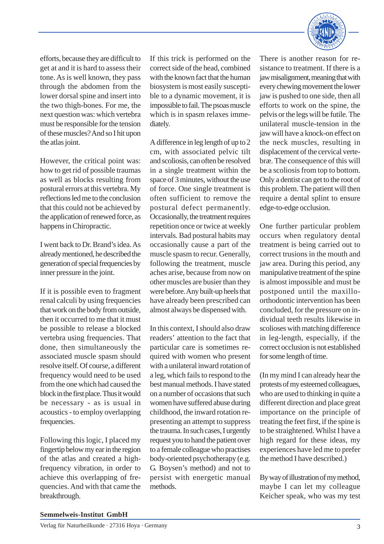

efforts, because they are difficult to get at and it is hard to assess their tone. As is well known, they pass through the abdomen from the lower dorsal spine and insert into the two thigh-bones. For me, the next question was: which vertebra must be responsible for the tension of these muscles? And so I hit upon the atlas joint.

However, the critical point was: how to get rid of possible traumas as well as blocks resulting from postural errors at this vertebra. My reflections led me to the conclusion that this could not be achieved by the application of renewed force, as happens in Chiropractic.

I went back to Dr. Brand's idea. As already mentioned, he described the generation of special frequencies by inner pressure in the joint.

If it is possible even to fragment renal calculi by using frequencies that work on the body from outside, then it occurred to me that it must be possible to release a blocked vertebra using frequencies. That done, then simultaneously the associated muscle spasm should resolve itself. Of course, a different frequency would need to be used from the one which had caused the block in the first place. Thus it would be necessary - as is usual in acoustics - to employ overlapping frequencies.

Following this logic, I placed my fingertip below my ear in the region of the atlas and created a highfrequency vibration, in order to achieve this overlapping of frequencies. And with that came the breakthrough.

If this trick is performed on the correct side of the head, combined with the known fact that the human biosystem is most easily susceptible to a dynamic movement, it is impossible to fail. The psoas muscle which is in spasm relaxes immediately.

A difference in leg length of up to 2 cm, with associated pelvic tilt and scoliosis, can often be resolved in a single treatment within the space of 3 minutes, without the use of force. One single treatment is often sufficient to remove the postural defect permanently. Occasionally, the treatment requires repetition once or twice at weekly intervals. Bad postural habits may occasionally cause a part of the muscle spasm to recur. Generally, following the treatment, muscle aches arise, because from now on other muscles are busier than they were before. Any built-up heels that have already been prescribed can almost always be dispensed with.

In this context, I should also draw readers' attention to the fact that particular care is sometimes required with women who present with a unilateral inward rotation of a leg, which fails to respond to the best manual methods. I have stated on a number of occasions that such women have suffered abuse during childhood, the inward rotation representing an attempt to suppress the trauma. In such cases, I urgently request you to hand the patient over to a female colleague who practises body-oriented psychotherapy (e.g. G. Boysen's method) and not to persist with energetic manual methods.

There is another reason for resistance to treatment. If there is a jaw misalignment, meaning that with every chewing movement the lower jaw is pushed to one side, then all efforts to work on the spine, the pelvis or the legs will be futile. The unilateral muscle-tension in the jaw will have a knock-on effect on the neck muscles, resulting in displacement of the cervical vertebræ. The consequence of this will be a scoliosis from top to bottom. Only a dentist can get to the root of this problem. The patient will then require a dental splint to ensure edge-to-edge occlusion.

One further particular problem occurs when regulatory dental treatment is being carried out to correct trusions in the mouth and jaw area. During this period, any manipulative treatment of the spine is almost impossible and must be postponed until the maxilloorthodontic intervention has been concluded, for the pressure on individual teeth results likewise in scolioses with matching difference in leg-length, especially, if the correct occlusion is not established for some length of time.

(In my mind I can already hear the protests of my esteemed colleagues, who are used to thinking in quite a different direction and place great importance on the principle of treating the feet first, if the spine is to be straightened. Whilst I have a high regard for these ideas, my experiences have led me to prefer the method I have described.)

By way of illustration of my method, maybe I can let my colleague Keicher speak, who was my test

## **Semmelweis-Institut GmbH**